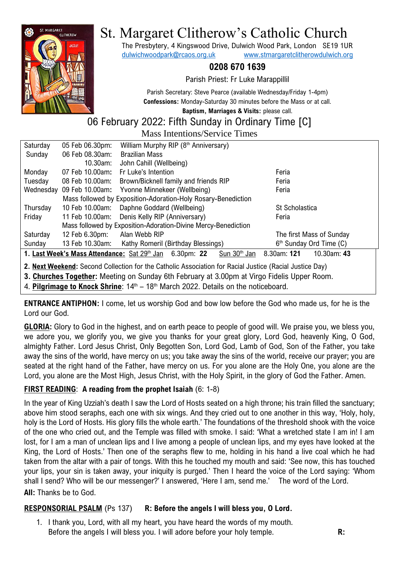

# St. Margaret Clitherow's Catholic Church

The Presbytery, 4 Kingswood Drive, Dulwich Wood Park, London SE19 1UR [dulwichwoodpark@rcaos.org.uk](mailto:dulwichwoodpark@rcaos.org.uk) [www.stmargaretclitherowdulwich.org](http://www.stmargaretclitherowdulwich.org/)

**0208 670 1639**

Parish Priest: Fr Luke Marappillil

Parish Secretary: Steve Pearce (available Wednesday/Friday 1-4pm) **Confessions:** Monday-Saturday 30 minutes before the Mass or at call.

**Baptism, Marriages & Visits:** please call.

# 06 February 2022: Fifth Sunday in Ordinary Time [C]

Mass Intentions/Service Times

| Saturday                                                                                                          | 05 Feb 06.30pm: | William Murphy RIP (8th Anniversary)                           |                                     |
|-------------------------------------------------------------------------------------------------------------------|-----------------|----------------------------------------------------------------|-------------------------------------|
| Sunday                                                                                                            | 06 Feb 08.30am: | <b>Brazilian Mass</b>                                          |                                     |
|                                                                                                                   | 10.30am:        | John Cahill (Wellbeing)                                        |                                     |
| Monday                                                                                                            | 07 Feb 10.00am: | Fr Luke's Intention                                            | Feria                               |
| Tuesday                                                                                                           | 08 Feb 10.00am: | Brown/Bicknell family and friends RIP                          | Feria                               |
| Wednesday                                                                                                         | 09 Feb 10.00am: | Yvonne Minnekeer (Wellbeing)                                   | Feria                               |
|                                                                                                                   |                 | Mass followed by Exposition-Adoration-Holy Rosary-Benediction  |                                     |
| Thursday                                                                                                          | 10 Feb 10.00am: | Daphne Goddard (Wellbeing)                                     | <b>St Scholastica</b>               |
| Friday                                                                                                            | 11 Feb 10.00am: | Denis Kelly RIP (Anniversary)                                  | Feria                               |
|                                                                                                                   |                 | Mass followed by Exposition-Adoration-Divine Mercy-Benediction |                                     |
| Saturday                                                                                                          | 12 Feb 6.30pm:  | Alan Webb RIP                                                  | The first Mass of Sunday            |
| Sunday                                                                                                            | 13 Feb 10.30am: | Kathy Romeril (Birthday Blessings)                             | 6 <sup>th</sup> Sunday Ord Time (C) |
| 1. Last Week's Mass Attendance: Sat 29th Jan 6.30pm: 22<br>Sun 30 <sup>th</sup> Jan<br>8.30am: 121<br>10.30am: 43 |                 |                                                                |                                     |
| 2. Next Weekend: Second Collection for the Catholic Association for Racial Justice (Racial Justice Day)           |                 |                                                                |                                     |
| A AIIT (I MIL'AIINI) (A AOIINI) A AIII A                                                                          |                 |                                                                |                                     |

**3. Churches Together:** Meeting on Sunday 6th February at 3.00pm at Virgo Fidelis Upper Room.

4. **Pilgrimage to Knock Shrine**:  $14<sup>th</sup> - 18<sup>th</sup>$  March 2022. Details on the noticeboard.

**ENTRANCE ANTIPHON:** I come, let us worship God and bow low before the God who made us, for he is the Lord our God.

**GLORIA:** Glory to God in the highest, and on earth peace to people of good will. We praise you, we bless you, we adore you, we glorify you, we give you thanks for your great glory, Lord God, heavenly King, O God, almighty Father. Lord Jesus Christ, Only Begotten Son, Lord God, Lamb of God, Son of the Father, you take away the sins of the world, have mercy on us; you take away the sins of the world, receive our prayer; you are seated at the right hand of the Father, have mercy on us. For you alone are the Holy One, you alone are the Lord, you alone are the Most High, Jesus Christ, with the Holy Spirit, in the glory of God the Father. Amen.

# **FIRST READING**: **A reading from the prophet Isaiah** (6: 1-8)

In the year of King Uzziah's death I saw the Lord of Hosts seated on a high throne; his train filled the sanctuary; above him stood seraphs, each one with six wings. And they cried out to one another in this way, 'Holy, holy, holy is the Lord of Hosts. His glory fills the whole earth.' The foundations of the threshold shook with the voice of the one who cried out, and the Temple was filled with smoke. I said: 'What a wretched state I am in! I am lost, for I am a man of unclean lips and I live among a people of unclean lips, and my eyes have looked at the King, the Lord of Hosts.' Then one of the seraphs flew to me, holding in his hand a live coal which he had taken from the altar with a pair of tongs. With this he touched my mouth and said: 'See now, this has touched your lips, your sin is taken away, your iniquity is purged.' Then I heard the voice of the Lord saying: 'Whom shall I send? Who will be our messenger?' I answered, 'Here I am, send me.' The word of the Lord. **All:** Thanks be to God.

# **RESPONSORIAL PSALM** (Ps 137) **R: Before the angels I will bless you, O Lord.**

1. I thank you, Lord, with all my heart, you have heard the words of my mouth. Before the angels I will bless you. I will adore before your holy temple. **R:**